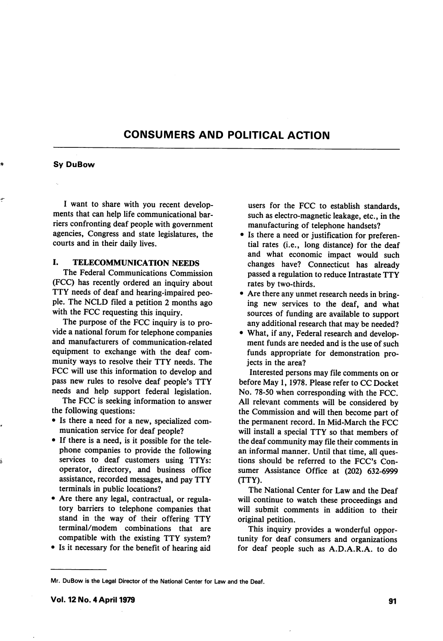# CONSUMERS AND POLITICAL ACTION

### Sy DuBow

I want to share with you recent develop ments that can help life communicational bar riers confronting deaf people with government agencies, Congress and state legislatures, the courts and in their daily lives.

# I. TELECOMMUNICATION NEEDS

The Federal Communications Commission (FCC) has recently ordered an inquiry about TTY needs of deaf and hearing-impaired peo ple. The NCLD filed a petition 2 months ago with the FCC requesting this inquiry.

The purpose of the FCC inquiry is to pro vide a national forum for telephone companies and manufacturers of communication-related equipment to exchange with the deaf com munity ways to resolve their TTY needs. The FCC will use this information to develop and pass new rules to resolve deaf people's TTY needs and help support federal legislation.

The FCC is seeking information to answer the following questions:

- Is there a need for a new, specialized com munication service for deaf people?
- If there is a need, is it possible for the tele phone companies to provide the following services to deaf customers using TTYs: operator, directory, and business office assistance, recorded messages, and pay TTY terminals in public locations?
- Are there any legal, contractual, or regula tory barriers to telephone companies that stand in the way of their offering TTY terminal/modem combinations that are compatible with the existing TTY system?
- Is it necessary for the benefit of hearing aid

users for the FCC to establish standards, such as electro-magnetic leakage, etc., in the manufacturing of telephone handsets?

- Is there a need or justification for preferen tial rates (i.e., long distance) for the deaf and what economic impact would such changes have? Connecticut has already passed a regulation to reduce Intrastate TTY rates by two-thirds.
- Are there any unmet research needs in bring ing new services to the deaf, and what sources of funding are available to support any additional research that may be needed?
- What, if any. Federal research and develop ment funds are needed and is the use of such funds appropriate for demonstration pro jects in the area?

Interested persons may file comments on or before May 1,1978. Please refer to CC Docket No. 78-50 when corresponding with the FCC. All relevant comments will be considered by the Commission and will then become part of the permanent record. In Mid-March the FCC will install a special TTY so that members of the deaf community may file their comments in an informal manner. Until that time, all ques tions should be referred to the FCC's Con sumer Assistance Office at (202) 632-6999 (TTY).

The National Center for Law and the Deaf will continue to watch these proceedings and will submit comments in addition to their original petition.

This inquiry provides a wonderful oppor tunity for deaf consumers and organizations for deaf people such as A.D.A.R.A. to do

Mr. OuBow is the Legal Director of the National Center for Law and the Deaf.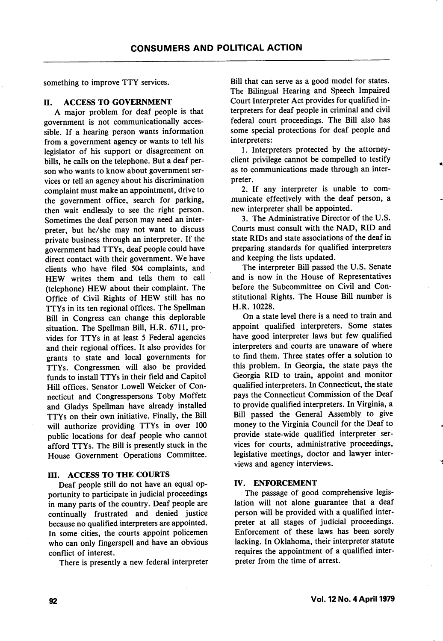something to improve TTY services.

## II. ACCESS TO GOVERNMENT

A major problem for deaf people is that government is not communicationally acces sible. If a hearing person wants information from a government agency or wants to tell his legislator of his support or disagreement on bills, he calls on the telephone. But a deaf per son who wants to know about government ser vices or tell an agency about his discrimination complaint must make an appointment, drive to the government office, search for parking, then wait endlessly to see the right person. Sometimes the deaf person may need an inter preter, but he/she may not want to discuss private business through an interpreter. If the government had TTYs, deaf people could have direct contact with their government. We have clients who have filed 504 complaints, and HEW writes them and tells them to call (telephone) HEW about their complaint. The Office of Civil Rights of HEW still has no TTYs in its ten regional offices. The Spellman Bill in Congress can change this deplorable situation. The Spellman Bill, H.R. 6711, pro vides for TTYs in at least 5 Federal agencies and their regional offices. It also provides for grants to state and local governments for TTYs. Congressmen will also be provided funds to install TTYs in their field and Capitol Hill offices. Senator Lowell Weicker of Con necticut and Congresspersons Toby Moffett and Gladys Spellman have already installed TTYs on their own initiative. Finally, the Bill will authorize providing TTYs in over 100 public locations for deaf people who cannot afford TTYs. The Bill is presently stuck in the House Government Operations Committee.

## III. ACCESS TO THE COURTS

Deaf people still do not have an equal op portunity to participate in judicial proceedings in many parts of the country. Deaf people are continually frustrated and denied justice because no qualified interpreters are appointed. In some cities, the courts appoint policemen who can only fingerspell and have an obvious conflict of interest.

There is presently a new federal interpreter

Bill that can serve as a good model for states. The Bilingual Hearing and Speech Impaired Court Interpreter Act provides for qualified in terpreters for deaf people in criminal and civil federal court proceedings. The Bill also has some special protections for deaf people and interpreters:

1. Interpreters protected by the attorneyclient privilege cannot be compelled to testify as to communications made through an inter preter.

2. If any interpreter is unable to com municate effectively with the deaf person, a new interpreter shall be appointed.

3. The Administrative Director of the U.S. Courts must consult with the NAD, RID and state RIDs and state associations of the deaf in preparing standards for qualified interpreters and keeping the lists updated.

The interpreter Bill passed the U.S. Senate and is now in the House of Representatives before the Subcommittee on Civil and Con stitutional Rights. The House Bill number is H.R. 10228.

On a state level there is a need to train and appoint qualified interpreters. Some states have good interpreter laws but few qualified interpreters and courts are unaware of where to find them. Three states offer a solution to this problem. In Georgia, the state pays the Georgia RID to train, appoint and monitor qualified interpreters. In Connecticut, the state pays the Connecticut Commission of the Deaf to provide qualified interpreters. In Virginia, a Bill passed the General Assembly to give money to the Virginia Council for the Deaf to provide state-wide qualified interpreter ser vices for courts, administrative proceedings, legislative meetings, doctor and lawyer inter views and agency interviews.

### IV. ENFORCEMENT

The passage of good comprehensive legis lation will not alone guarantee that a deaf person will be provided with a qualified inter preter at all stages of judicial proceedings. Enforcement of these laws has been sorely lacking. In Oklahoma, their interpreter statute requires the appointment of a qualified inter preter from the time of arrest.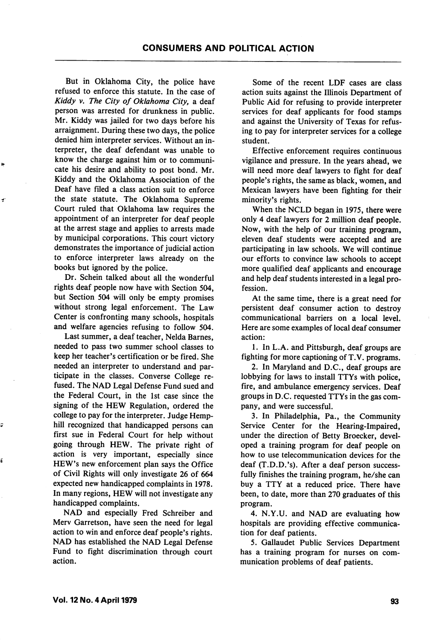But in Oklahoma City, the police have refused to enforce this statute. In the case of Kiddy v. The City of Oklahoma City, a deaf person was arrested for drunkness in public. Mr. Kiddy was jailed for two days before his arraignment. During these two days, the police denied him interpreter services. Without an in terpreter, the deaf defendant was unable to know the charge against him or to communi cate his desire and ability to post bond. Mr. Kiddy and the Oklahoma Association of the Deaf have filed a class action suit to enforce the state statute. The Oklahoma Supreme Court ruled that Oklahoma law requires the appointment of an interpreter for deaf people at the arrest stage and applies to arrests made by municipal corporations. This court victory demonstrates the importance of judicial action to enforce interpreter laws already on the books but ignored by the police.

 $\tilde{\mathbf{z}}$ 

é

Dr. Schein talked about all the wonderful rights deaf people now have with Section 504, but Section 504 will only be empty promises without strong legal enforcement. The Law Center is confronting many schools, hospitals and welfare agencies refusing to follow 504.

Last summer, a deaf teacher, Nelda Barnes, needed to pass two summer school classes to keep her teacher's certification or be fired. She needed an interpreter to understand and par ticipate in the classes. Converse College re fused. The NAD Legal Defense Fund sued and the Federal Court, in the 1st case since the signing of the HEW Regulation, ordered the college to pay for the interpreter. Judge Hemphill recognized that handicapped persons can first sue in Federal Court for help without going through HEW. The private right of action is very important, especially since HEW's new enforcement plan says the Office of Civil Rights will only investigate 26 of 664 expected new handicapped complaints in 1978. In many regions, HEW will not investigate any handicapped complaints.

NAD and especially Fred Schreiber and Merv Garretson, have seen the need for legal action to win and enforce deaf people's rights. NAD has established the NAD Legal Defense Fund to fight discrimination through court action.

Some of the recent LDF cases are class action suits against the Illinois Department of Public Aid for refusing to provide interpreter services for deaf applicants for food stamps and against the University of Texas for refus ing to pay for interpreter services for a college student.

Effective enforcement requires continuous vigilance and pressure. In the years ahead, we will need more deaf lawyers to fight for deaf people's rights, the same as black, women, and Mexican lawyers have been fighting for their minority's rights.

When the NCLD began in 1975, there were only 4 deaf lawyers for 2 million deaf people. Now, with the help of our training program, eleven deaf students were accepted and are participating in law schools. We will continue our efforts to convince law schools to accept more qualified deaf applicants and encourage and help deaf students interested in a legal pro fession.

At the same time, there is a great need for persistent deaf consumer action to destroy communicational barriers on a local level. Here are some examples of local deaf consumer action:

1. In L.A. and Pittsburgh, deaf groups are fighting for more captioning of T. V. programs.

2. In Maryland and D.C., deaf groups are lobbying for laws to install TTYs with police, fire, and ambulance emergency services. Deaf groups in D.C. requested TTYs in the gas com pany, and were successful.

3. In Philadelphia, Pa., the Community Service Center for the Hearing-Impaired, under the direction of Betty Broecker, devel oped a training program for deaf people on how to use telecommunication devices for the deaf (T.D.D.'s). After a deaf person success fully finishes the training program, he/she can buy a TTY at a reduced price. There have been, to date, more than 270 graduates of this program.

4. N.Y.U. and NAD are evaluating how hospitals are providing effective communica tion for deaf patients.

5. Gallaudet Public Services Department has a training program for nurses on com munication problems of deaf patients.